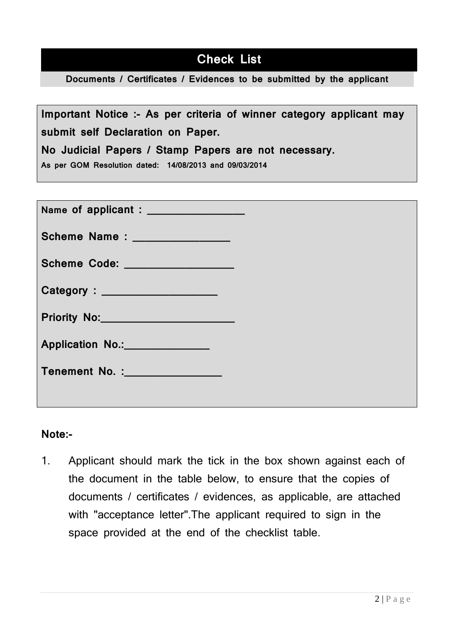# **Check List**

**Documents / Certificates / Evidences to be submitted by the applicant**

**Important Notice :- As per criteria of winner category applicant may submit self Declaration on Paper.** 

**No Judicial Papers / Stamp Papers are not necessary.**

**As per GOM Resolution dated: 14/08/2013 and 09/03/2014**

| Scheme Name : _______________   |
|---------------------------------|
| Scheme Code: __________________ |
|                                 |
| Priority No: 2008               |
| Application No.: No.:           |
| Tenement No. : No. 3            |
|                                 |

### **Note:-**

1. Applicant should mark the tick in the box shown against each of the document in the table below, to ensure that the copies of documents / certificates / evidences, as applicable, are attached with "acceptance letter".The applicant required to sign in the space provided at the end of the checklist table.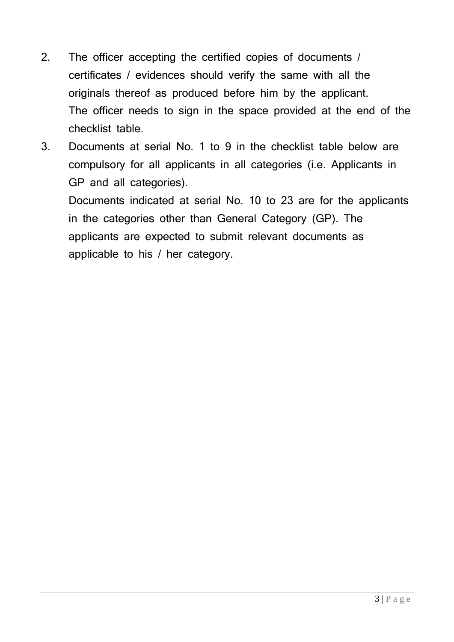- 2. The officer accepting the certified copies of documents / certificates / evidences should verify the same with all the originals thereof as produced before him by the applicant. The officer needs to sign in the space provided at the end of the checklist table.
- 3. Documents at serial No. 1 to 9 in the checklist table below are compulsory for all applicants in all categories (i.e. Applicants in GP and all categories).

Documents indicated at serial No. 10 to 23 are for the applicants in the categories other than General Category (GP). The applicants are expected to submit relevant documents as applicable to his / her category.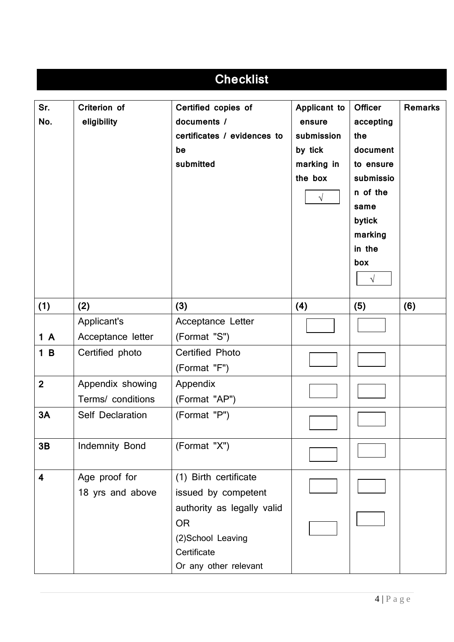| <b>Checklist</b>        |                                                     |                                                                                      |                                                                                        |                                                                                                                                                  |                |
|-------------------------|-----------------------------------------------------|--------------------------------------------------------------------------------------|----------------------------------------------------------------------------------------|--------------------------------------------------------------------------------------------------------------------------------------------------|----------------|
| Sr.<br>No.              | Criterion of<br>eligibility                         | Certified copies of<br>documents /<br>certificates / evidences to<br>be<br>submitted | Applicant to<br>ensure<br>submission<br>by tick<br>marking in<br>the box<br>$\sqrt{ }$ | <b>Officer</b><br>accepting<br>the<br>document<br>to ensure<br>submissio<br>n of the<br>same<br>bytick<br>marking<br>in the<br>box<br>$\sqrt{ }$ | <b>Remarks</b> |
| (1)                     | (2)                                                 | (3)                                                                                  | (4)                                                                                    | (5)                                                                                                                                              | (6)            |
| 1A<br>1B                | Applicant's<br>Acceptance letter<br>Certified photo | Acceptance Letter<br>(Format "S")<br><b>Certified Photo</b>                          |                                                                                        |                                                                                                                                                  |                |
|                         |                                                     | (Format "F")                                                                         |                                                                                        |                                                                                                                                                  |                |
| $\overline{2}$          | Appendix showing<br>Terms/ conditions               | Appendix<br>(Format "AP")                                                            |                                                                                        |                                                                                                                                                  |                |
| 3A                      | Self Declaration                                    | (Format "P")                                                                         |                                                                                        |                                                                                                                                                  |                |
| 3B                      | Indemnity Bond                                      | (Format "X")                                                                         |                                                                                        |                                                                                                                                                  |                |
| $\overline{\mathbf{4}}$ | Age proof for<br>18 yrs and above                   | (1) Birth certificate<br>issued by competent<br>authority as legally valid           |                                                                                        |                                                                                                                                                  |                |
|                         |                                                     | <b>OR</b><br>(2)School Leaving<br>Certificate<br>Or any other relevant               |                                                                                        |                                                                                                                                                  |                |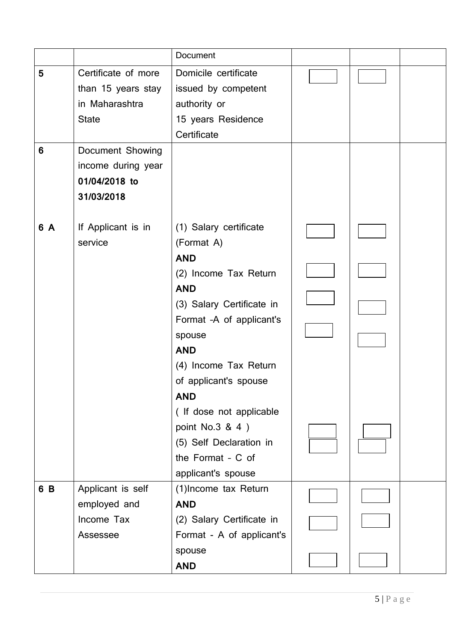|                |                     | Document                  |  |  |
|----------------|---------------------|---------------------------|--|--|
| $5\phantom{1}$ | Certificate of more | Domicile certificate      |  |  |
|                | than 15 years stay  | issued by competent       |  |  |
|                | in Maharashtra      | authority or              |  |  |
|                | <b>State</b>        | 15 years Residence        |  |  |
|                |                     | Certificate               |  |  |
| 6              | Document Showing    |                           |  |  |
|                | income during year  |                           |  |  |
|                | 01/04/2018 to       |                           |  |  |
|                | 31/03/2018          |                           |  |  |
|                |                     |                           |  |  |
| 6 A            | If Applicant is in  | (1) Salary certificate    |  |  |
|                | service             | (Format A)                |  |  |
|                |                     | <b>AND</b>                |  |  |
|                |                     | (2) Income Tax Return     |  |  |
|                |                     | <b>AND</b>                |  |  |
|                |                     | (3) Salary Certificate in |  |  |
|                |                     | Format -A of applicant's  |  |  |
|                |                     | spouse                    |  |  |
|                |                     | <b>AND</b>                |  |  |
|                |                     | (4) Income Tax Return     |  |  |
|                |                     | of applicant's spouse     |  |  |
|                |                     | <b>AND</b>                |  |  |
|                |                     | ( If dose not applicable  |  |  |
|                |                     | point No.3 & 4)           |  |  |
|                |                     | (5) Self Declaration in   |  |  |
|                |                     | the Format - C of         |  |  |
|                |                     | applicant's spouse        |  |  |
| 6 B            | Applicant is self   | (1) Income tax Return     |  |  |
|                | employed and        | <b>AND</b>                |  |  |
|                | Income Tax          | (2) Salary Certificate in |  |  |
|                | Assessee            | Format - A of applicant's |  |  |
|                |                     | spouse                    |  |  |
|                |                     | <b>AND</b>                |  |  |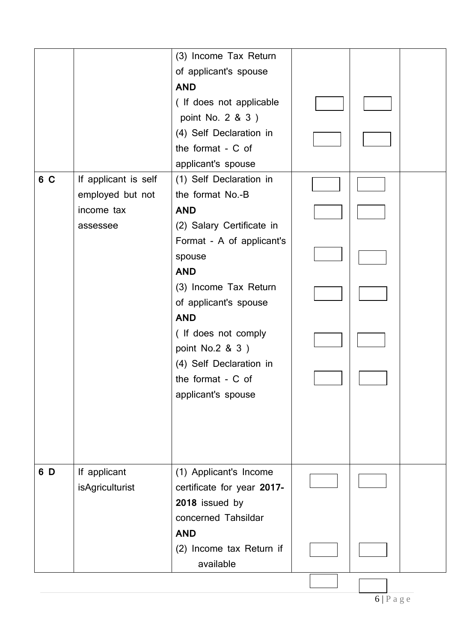|     |                        | (3) Income Tax Return      |  |  |
|-----|------------------------|----------------------------|--|--|
|     |                        | of applicant's spouse      |  |  |
|     |                        | <b>AND</b>                 |  |  |
|     |                        | (If does not applicable    |  |  |
|     |                        | point No. 2 & 3 )          |  |  |
|     |                        | (4) Self Declaration in    |  |  |
|     |                        | the format - C of          |  |  |
|     |                        | applicant's spouse         |  |  |
| 6 C | If applicant is self   | (1) Self Declaration in    |  |  |
|     | employed but not       | the format No.-B           |  |  |
|     | income tax             | <b>AND</b>                 |  |  |
|     | assessee               | (2) Salary Certificate in  |  |  |
|     |                        | Format - A of applicant's  |  |  |
|     |                        | spouse                     |  |  |
|     |                        | <b>AND</b>                 |  |  |
|     |                        | (3) Income Tax Return      |  |  |
|     |                        | of applicant's spouse      |  |  |
|     |                        | <b>AND</b>                 |  |  |
|     |                        | (If does not comply        |  |  |
|     |                        | point No.2 & 3)            |  |  |
|     |                        | (4) Self Declaration in    |  |  |
|     |                        | the format - C of          |  |  |
|     |                        | applicant's spouse         |  |  |
|     |                        |                            |  |  |
|     |                        |                            |  |  |
|     |                        |                            |  |  |
|     |                        |                            |  |  |
| 6 D | If applicant           | (1) Applicant's Income     |  |  |
|     | <b>isAgriculturist</b> | certificate for year 2017- |  |  |
|     |                        | 2018 issued by             |  |  |
|     |                        | concerned Tahsildar        |  |  |
|     |                        | <b>AND</b>                 |  |  |
|     |                        | (2) Income tax Return if   |  |  |
|     |                        | available                  |  |  |
|     |                        |                            |  |  |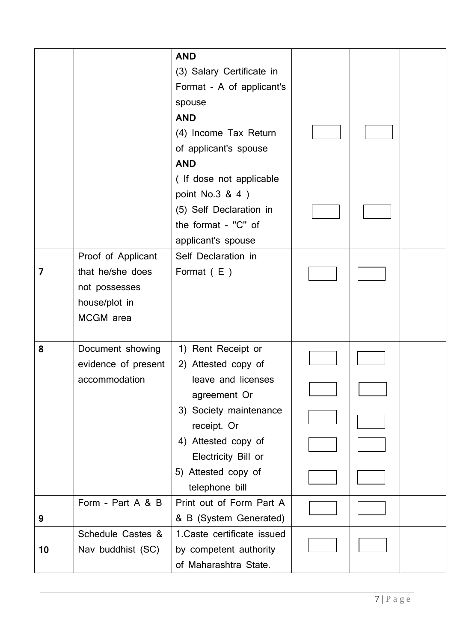|    |                                                                                       | <b>AND</b><br>(3) Salary Certificate in<br>Format - A of applicant's<br>spouse                                                                                                                                  |  |  |
|----|---------------------------------------------------------------------------------------|-----------------------------------------------------------------------------------------------------------------------------------------------------------------------------------------------------------------|--|--|
|    |                                                                                       | <b>AND</b><br>(4) Income Tax Return<br>of applicant's spouse<br><b>AND</b>                                                                                                                                      |  |  |
|    |                                                                                       | (If dose not applicable<br>point No.3 & 4)<br>(5) Self Declaration in<br>the format - "C" of<br>applicant's spouse                                                                                              |  |  |
| 7  | Proof of Applicant<br>that he/she does<br>not possesses<br>house/plot in<br>MCGM area | Self Declaration in<br>Format $(E)$                                                                                                                                                                             |  |  |
| 8  | Document showing<br>evidence of present<br>accommodation                              | 1) Rent Receipt or<br>2) Attested copy of<br>leave and licenses<br>agreement Or<br>3) Society maintenance<br>receipt. Or<br>4) Attested copy of<br>Electricity Bill or<br>5) Attested copy of<br>telephone bill |  |  |
| 9  | Form - Part A & B                                                                     | Print out of Form Part A<br>& B (System Generated)                                                                                                                                                              |  |  |
| 10 | Schedule Castes &<br>Nav buddhist (SC)                                                | 1. Caste certificate issued<br>by competent authority<br>of Maharashtra State.                                                                                                                                  |  |  |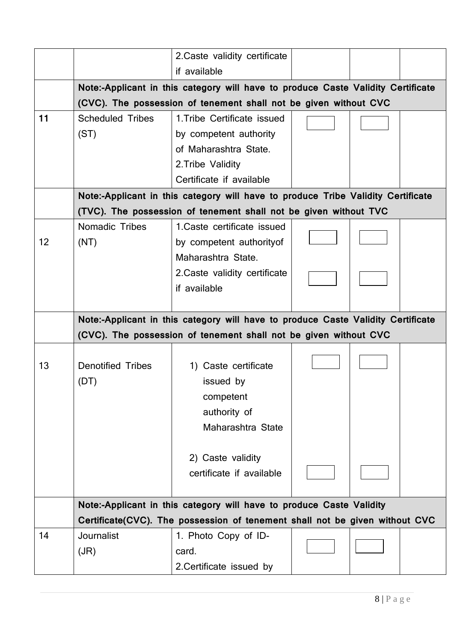|    |                          | 2. Caste validity certificate                                                                                                                        |  |  |
|----|--------------------------|------------------------------------------------------------------------------------------------------------------------------------------------------|--|--|
|    |                          | if available                                                                                                                                         |  |  |
|    |                          | Note:-Applicant in this category will have to produce Caste Validity Certificate                                                                     |  |  |
|    |                          | (CVC). The possession of tenement shall not be given without CVC                                                                                     |  |  |
| 11 | <b>Scheduled Tribes</b>  | 1. Tribe Certificate issued                                                                                                                          |  |  |
|    | (ST)                     | by competent authority                                                                                                                               |  |  |
|    |                          | of Maharashtra State.                                                                                                                                |  |  |
|    |                          | 2. Tribe Validity                                                                                                                                    |  |  |
|    |                          | Certificate if available                                                                                                                             |  |  |
|    |                          | Note:-Applicant in this category will have to produce Tribe Validity Certificate                                                                     |  |  |
|    |                          | (TVC). The possession of tenement shall not be given without TVC                                                                                     |  |  |
|    | <b>Nomadic Tribes</b>    | 1. Caste certificate issued                                                                                                                          |  |  |
| 12 | (NT)                     | by competent authority of                                                                                                                            |  |  |
|    |                          | Maharashtra State.                                                                                                                                   |  |  |
|    |                          | 2. Caste validity certificate                                                                                                                        |  |  |
|    |                          | if available                                                                                                                                         |  |  |
|    |                          |                                                                                                                                                      |  |  |
|    |                          |                                                                                                                                                      |  |  |
|    |                          |                                                                                                                                                      |  |  |
|    |                          | Note:-Applicant in this category will have to produce Caste Validity Certificate<br>(CVC). The possession of tenement shall not be given without CVC |  |  |
|    |                          |                                                                                                                                                      |  |  |
| 13 | <b>Denotified Tribes</b> | 1) Caste certificate                                                                                                                                 |  |  |
|    |                          |                                                                                                                                                      |  |  |
|    | (DT)                     | issued by                                                                                                                                            |  |  |
|    |                          | competent                                                                                                                                            |  |  |
|    |                          | authority of                                                                                                                                         |  |  |
|    |                          | Maharashtra State                                                                                                                                    |  |  |
|    |                          |                                                                                                                                                      |  |  |
|    |                          | 2) Caste validity                                                                                                                                    |  |  |
|    |                          | certificate if available                                                                                                                             |  |  |
|    |                          |                                                                                                                                                      |  |  |
|    |                          | Note:-Applicant in this category will have to produce Caste Validity                                                                                 |  |  |
|    |                          | Certificate(CVC). The possession of tenement shall not be given without CVC                                                                          |  |  |
| 14 | <b>Journalist</b>        | 1. Photo Copy of ID-                                                                                                                                 |  |  |
|    | (JR)                     | card.<br>2. Certificate issued by                                                                                                                    |  |  |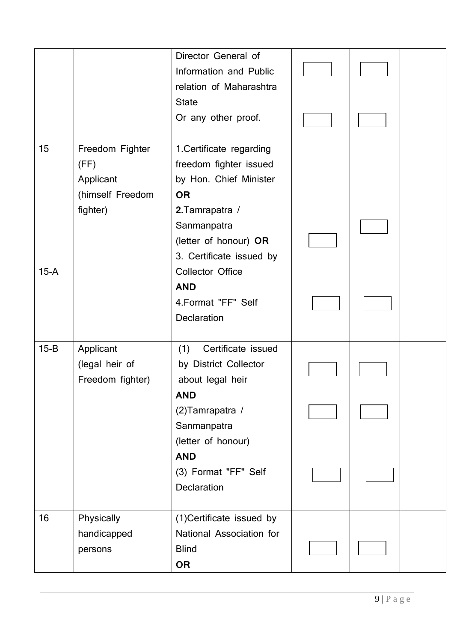|        |                                                                      | Director General of<br>Information and Public<br>relation of Maharashtra                                                                             |  |  |
|--------|----------------------------------------------------------------------|------------------------------------------------------------------------------------------------------------------------------------------------------|--|--|
|        |                                                                      | <b>State</b><br>Or any other proof.                                                                                                                  |  |  |
| 15     | Freedom Fighter<br>(FF)<br>Applicant<br>(himself Freedom<br>fighter) | 1. Certificate regarding<br>freedom fighter issued<br>by Hon. Chief Minister<br><b>OR</b><br>2. Tamrapatra /<br>Sanmanpatra<br>(letter of honour) OR |  |  |
| $15-A$ |                                                                      | 3. Certificate issued by<br><b>Collector Office</b><br><b>AND</b><br>4. Format "FF" Self<br><b>Declaration</b>                                       |  |  |
| $15-B$ | Applicant<br>(legal heir of<br>Freedom fighter)                      | (1)<br>Certificate issued<br>by District Collector<br>about legal heir<br><b>AND</b>                                                                 |  |  |
|        |                                                                      | (2) Tamrapatra /<br>Sanmanpatra<br>(letter of honour)                                                                                                |  |  |
|        |                                                                      | <b>AND</b><br>(3) Format "FF" Self<br>Declaration                                                                                                    |  |  |
| 16     | Physically<br>handicapped<br>persons                                 | (1) Certificate issued by<br>National Association for<br><b>Blind</b><br><b>OR</b>                                                                   |  |  |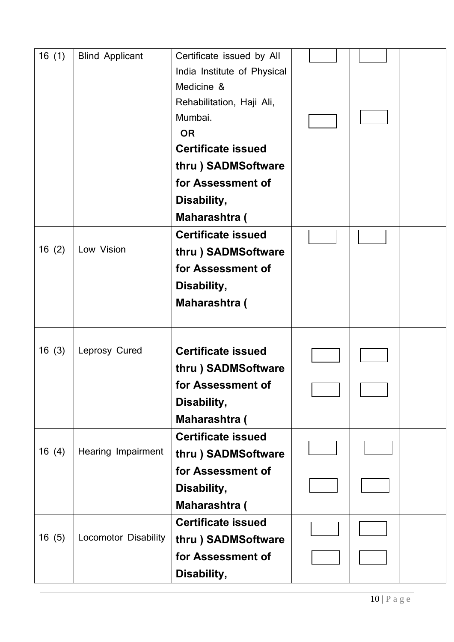| 16(1) | <b>Blind Applicant</b>      | Certificate issued by All<br>India Institute of Physical<br>Medicine &<br>Rehabilitation, Haji Ali,<br>Mumbai.<br><b>OR</b><br><b>Certificate issued</b><br>thru) SADMSoftware<br>for Assessment of<br>Disability,<br>Maharashtra ( |  |  |
|-------|-----------------------------|-------------------------------------------------------------------------------------------------------------------------------------------------------------------------------------------------------------------------------------|--|--|
| 16(2) | Low Vision                  | <b>Certificate issued</b><br>thru ) SADMSoftware<br>for Assessment of<br>Disability,<br><b>Maharashtra (</b>                                                                                                                        |  |  |
| 16(3) | Leprosy Cured               | <b>Certificate issued</b><br>thru) SADMSoftware<br>for Assessment of<br>Disability,<br>Maharashtra (                                                                                                                                |  |  |
| 16(4) | Hearing Impairment          | <b>Certificate issued</b><br>thru) SADMSoftware<br>for Assessment of<br>Disability,<br>Maharashtra (                                                                                                                                |  |  |
| 16(5) | <b>Locomotor Disability</b> | <b>Certificate issued</b><br>thru) SADMSoftware<br>for Assessment of<br>Disability,                                                                                                                                                 |  |  |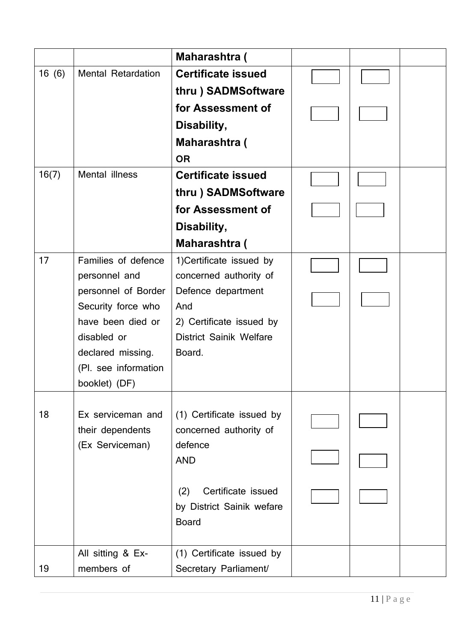|       |                                         | Maharashtra (                   |  |  |
|-------|-----------------------------------------|---------------------------------|--|--|
| 16(6) | <b>Mental Retardation</b>               | <b>Certificate issued</b>       |  |  |
|       |                                         | thru) SADMSoftware              |  |  |
|       |                                         | for Assessment of               |  |  |
|       |                                         | Disability,                     |  |  |
|       |                                         | <b>Maharashtra (</b>            |  |  |
|       |                                         | <b>OR</b>                       |  |  |
| 16(7) | Mental illness                          | <b>Certificate issued</b>       |  |  |
|       |                                         | thru) SADMSoftware              |  |  |
|       |                                         | for Assessment of               |  |  |
|       |                                         | Disability,                     |  |  |
|       |                                         | Maharashtra (                   |  |  |
| 17    | Families of defence                     | 1) Certificate issued by        |  |  |
|       | personnel and                           | concerned authority of          |  |  |
|       | personnel of Border                     | Defence department              |  |  |
|       | Security force who<br>have been died or | And<br>2) Certificate issued by |  |  |
|       | disabled or                             | <b>District Sainik Welfare</b>  |  |  |
|       | declared missing.                       | Board.                          |  |  |
|       | (Pl. see information                    |                                 |  |  |
|       | booklet) (DF)                           |                                 |  |  |
|       |                                         |                                 |  |  |
| 18    | Ex serviceman and                       | (1) Certificate issued by       |  |  |
|       | their dependents                        | concerned authority of          |  |  |
|       | (Ex Serviceman)                         | defence<br><b>AND</b>           |  |  |
|       |                                         |                                 |  |  |
|       |                                         | Certificate issued<br>(2)       |  |  |
|       |                                         | by District Sainik wefare       |  |  |
|       |                                         | <b>Board</b>                    |  |  |
|       |                                         |                                 |  |  |
|       | All sitting & Ex-                       | (1) Certificate issued by       |  |  |
| 19    | members of                              | Secretary Parliament/           |  |  |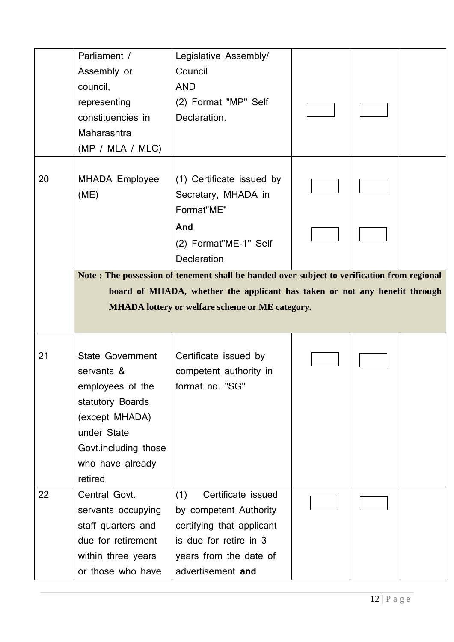|    | Parliament /<br>Assembly or<br>council,<br>representing<br>constituencies in<br>Maharashtra<br>(MP / MLA / MLC) | Legislative Assembly/<br>Council<br><b>AND</b><br>(2) Format "MP" Self<br>Declaration.                        |  |  |
|----|-----------------------------------------------------------------------------------------------------------------|---------------------------------------------------------------------------------------------------------------|--|--|
| 20 | <b>MHADA Employee</b><br>(ME)                                                                                   | (1) Certificate issued by<br>Secretary, MHADA in<br>Format"ME"<br>And<br>(2) Format"ME-1" Self<br>Declaration |  |  |
|    |                                                                                                                 | Note: The possession of tenement shall be handed over subject to verification from regional                   |  |  |
|    |                                                                                                                 | board of MHADA, whether the applicant has taken or not any benefit through                                    |  |  |
|    |                                                                                                                 | <b>MHADA</b> lottery or welfare scheme or ME category.                                                        |  |  |
|    |                                                                                                                 |                                                                                                               |  |  |
| 21 | <b>State Government</b><br>servants &<br>employees of the<br>statutory Boards<br>(except MHADA)                 | Certificate issued by<br>competent authority in<br>format no. "SG"                                            |  |  |
|    | under State<br>Govt.including those<br>who have already<br>retired                                              |                                                                                                               |  |  |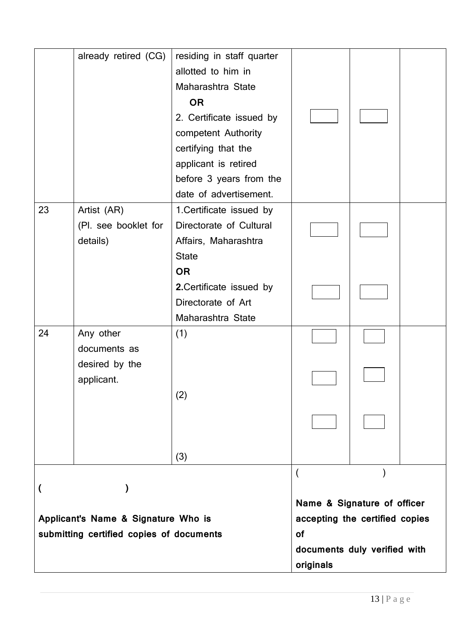|                                     |                                          |                                                                 | documents duly verified with<br>originals |  |
|-------------------------------------|------------------------------------------|-----------------------------------------------------------------|-------------------------------------------|--|
|                                     | submitting certified copies of documents |                                                                 | <b>of</b>                                 |  |
| Applicant's Name & Signature Who is |                                          | Name & Signature of officer<br>accepting the certified copies   |                                           |  |
| ∖                                   |                                          |                                                                 |                                           |  |
|                                     |                                          | (3)                                                             |                                           |  |
|                                     |                                          |                                                                 |                                           |  |
|                                     |                                          | (2)                                                             |                                           |  |
|                                     | desired by the<br>applicant.             |                                                                 |                                           |  |
| 24                                  | Any other<br>documents as                | (1)                                                             |                                           |  |
|                                     |                                          | Maharashtra State                                               |                                           |  |
|                                     |                                          | <b>OR</b><br>2. Certificate issued by<br>Directorate of Art     |                                           |  |
|                                     | (Pl. see booklet for<br>details)         | Directorate of Cultural<br>Affairs, Maharashtra<br><b>State</b> |                                           |  |
| 23                                  | Artist (AR)                              | date of advertisement.<br>1. Certificate issued by              |                                           |  |
|                                     |                                          | applicant is retired<br>before 3 years from the                 |                                           |  |
|                                     |                                          | competent Authority<br>certifying that the                      |                                           |  |
|                                     |                                          | 2. Certificate issued by                                        |                                           |  |
|                                     |                                          | Maharashtra State<br><b>OR</b>                                  |                                           |  |
|                                     |                                          | allotted to him in                                              |                                           |  |
|                                     | already retired (CG)                     | residing in staff quarter                                       |                                           |  |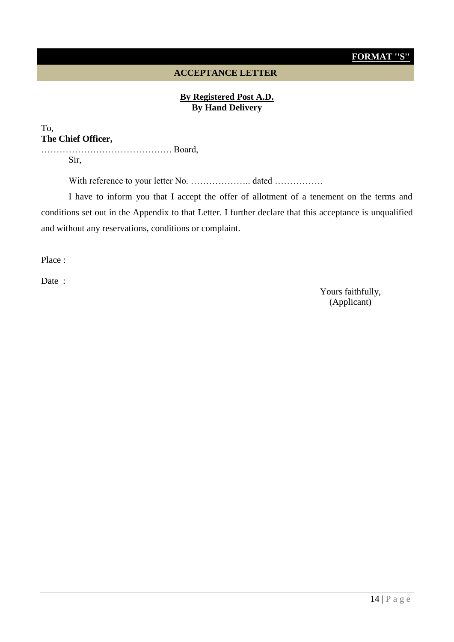## **FORMAT ''S''**

#### **ACCEPTANCE LETTER**

#### **By Registered Post A.D. By Hand Delivery**

#### To, **The Chief Officer,**

……………………………………. Board, Sir,

With reference to your letter No. ……………….. dated …………….

I have to inform you that I accept the offer of allotment of a tenement on the terms and conditions set out in the Appendix to that Letter. I further declare that this acceptance is unqualified and without any reservations, conditions or complaint.

Place :

Date :

Yours faithfully, (Applicant)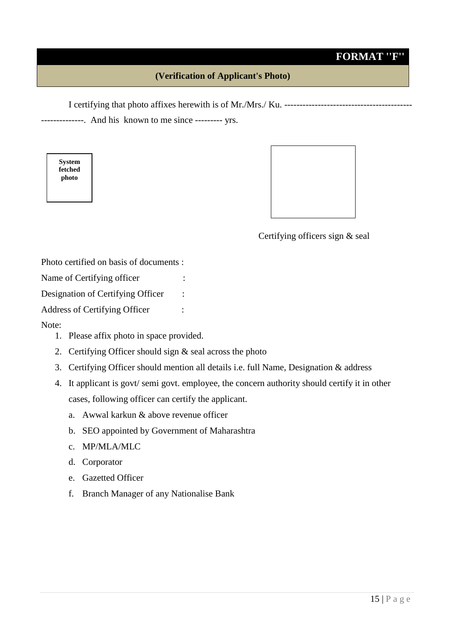# **FORMAT ''F''**

### **(Verification of Applicant's Photo)**

I certifying that photo affixes herewith is of Mr./Mrs./ Ku. ------------------------------------------

--------------. And his known to me since --------- yrs.

**System fetched photo**



Certifying officers sign & seal

Photo certified on basis of documents :

Name of Certifying officer :

Designation of Certifying Officer :

Address of Certifying Officer :

#### Note:

- 1. Please affix photo in space provided.
- 2. Certifying Officer should sign & seal across the photo
- 3. Certifying Officer should mention all details i.e. full Name, Designation & address
- 4. It applicant is govt/ semi govt. employee, the concern authority should certify it in other cases, following officer can certify the applicant.
	- a. Awwal karkun & above revenue officer
	- b. SEO appointed by Government of Maharashtra
	- c. MP/MLA/MLC
	- d. Corporator
	- e. Gazetted Officer
	- f. Branch Manager of any Nationalise Bank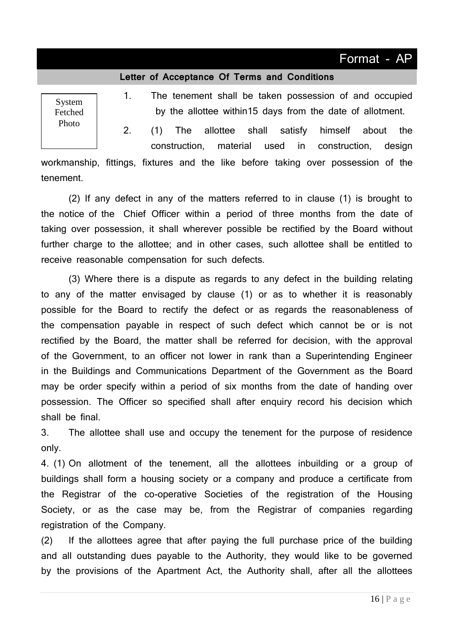# Format - AP

#### **Letter of Acceptance Of Terms and Conditions**

System Fetched Photo

1. The tenement shall be taken possession of and occupied by the allottee within15 days from the date of allotment.

2. (1) The allottee shall satisfy himself about the construction, material used in construction, design

workmanship, fittings, fixtures and the like before taking over possession of the tenement.

(2) If any defect in any of the matters referred to in clause (1) is brought to the notice of the Chief Officer within a period of three months from the date of taking over possession, it shall wherever possible be rectified by the Board without further charge to the allottee; and in other cases, such allottee shall be entitled to receive reasonable compensation for such defects.

(3) Where there is a dispute as regards to any defect in the building relating to any of the matter envisaged by clause (1) or as to whether it is reasonably possible for the Board to rectify the defect or as regards the reasonableness of the compensation payable in respect of such defect which cannot be or is not rectified by the Board, the matter shall be referred for decision, with the approval of the Government, to an officer not lower in rank than a Superintending Engineer in the Buildings and Communications Department of the Government as the Board may be order specify within a period of six months from the date of handing over possession. The Officer so specified shall after enquiry record his decision which shall be final.

3. The allottee shall use and occupy the tenement for the purpose of residence only.

4. (1) On allotment of the tenement, all the allottees inbuilding or a group of buildings shall form a housing society or a company and produce a certificate from the Registrar of the co-operative Societies of the registration of the Housing Society, or as the case may be, from the Registrar of companies regarding registration of the Company.

(2) If the allottees agree that after paying the full purchase price of the building and all outstanding dues payable to the Authority, they would like to be governed by the provisions of the Apartment Act, the Authority shall, after all the allottees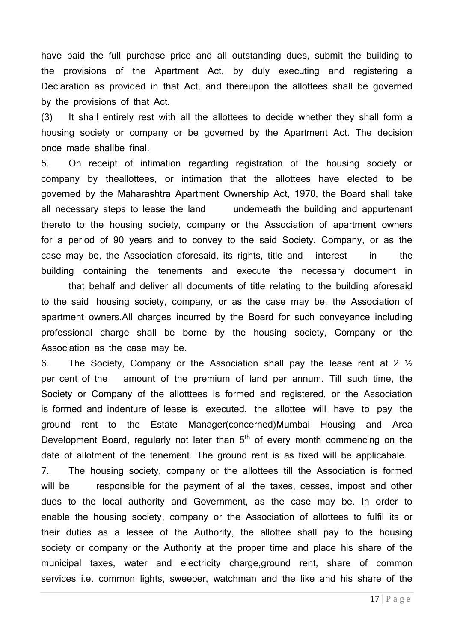have paid the full purchase price and all outstanding dues, submit the building to the provisions of the Apartment Act, by duly executing and registering a Declaration as provided in that Act, and thereupon the allottees shall be governed by the provisions of that Act.

(3) It shall entirely rest with all the allottees to decide whether they shall form a housing society or company or be governed by the Apartment Act. The decision once made shallbe final.

5. On receipt of intimation regarding registration of the housing society or company by theallottees, or intimation that the allottees have elected to be governed by the Maharashtra Apartment Ownership Act, 1970, the Board shall take all necessary steps to lease the land underneath the building and appurtenant thereto to the housing society, company or the Association of apartment owners for a period of 90 years and to convey to the said Society, Company, or as the case may be, the Association aforesaid, its rights, title and interest in the building containing the tenements and execute the necessary document in

that behalf and deliver all documents of title relating to the building aforesaid to the said housing society, company, or as the case may be, the Association of apartment owners.All charges incurred by the Board for such conveyance including professional charge shall be borne by the housing society, Company or the Association as the case may be.

6. The Society, Company or the Association shall pay the lease rent at 2 ½ per cent of the amount of the premium of land per annum. Till such time, the Society or Company of the allotttees is formed and registered, or the Association is formed and indenture of lease is executed, the allottee will have to pay the ground rent to the Estate Manager(concerned)Mumbai Housing and Area Development Board, regularly not later than  $5<sup>th</sup>$  of every month commencing on the date of allotment of the tenement. The ground rent is as fixed will be applicabale.

7. The housing society, company or the allottees till the Association is formed will be responsible for the payment of all the taxes, cesses, impost and other dues to the local authority and Government, as the case may be. In order to enable the housing society, company or the Association of allottees to fulfil its or their duties as a lessee of the Authority, the allottee shall pay to the housing society or company or the Authority at the proper time and place his share of the municipal taxes, water and electricity charge,ground rent, share of common services i.e. common lights, sweeper, watchman and the like and his share of the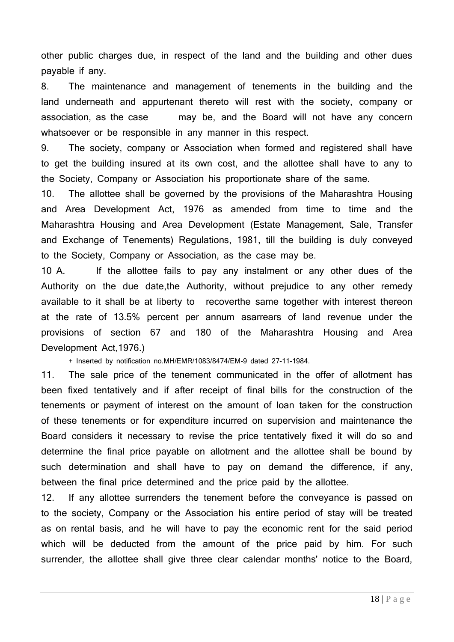other public charges due, in respect of the land and the building and other dues payable if any.

8. The maintenance and management of tenements in the building and the land underneath and appurtenant thereto will rest with the society, company or association, as the case may be, and the Board will not have any concern whatsoever or be responsible in any manner in this respect.

9. The society, company or Association when formed and registered shall have to get the building insured at its own cost, and the allottee shall have to any to the Society, Company or Association his proportionate share of the same.

10. The allottee shall be governed by the provisions of the Maharashtra Housing and Area Development Act, 1976 as amended from time to time and the Maharashtra Housing and Area Development (Estate Management, Sale, Transfer and Exchange of Tenements) Regulations, 1981, till the building is duly conveyed to the Society, Company or Association, as the case may be.

10 A. If the allottee fails to pay any instalment or any other dues of the Authority on the due date,the Authority, without prejudice to any other remedy available to it shall be at liberty to recoverthe same together with interest thereon at the rate of 13.5% percent per annum asarrears of land revenue under the provisions of section 67 and 180 of the Maharashtra Housing and Area Development Act,1976.)

+ Inserted by notification no.MH/EMR/1083/8474/EM-9 dated 27-11-1984.

11. The sale price of the tenement communicated in the offer of allotment has been fixed tentatively and if after receipt of final bills for the construction of the tenements or payment of interest on the amount of loan taken for the construction of these tenements or for expenditure incurred on supervision and maintenance the Board considers it necessary to revise the price tentatively fixed it will do so and determine the final price payable on allotment and the allottee shall be bound by such determination and shall have to pay on demand the difference, if any, between the final price determined and the price paid by the allottee.

12. If any allottee surrenders the tenement before the conveyance is passed on to the society, Company or the Association his entire period of stay will be treated as on rental basis, and he will have to pay the economic rent for the said period which will be deducted from the amount of the price paid by him. For such surrender, the allottee shall give three clear calendar months' notice to the Board,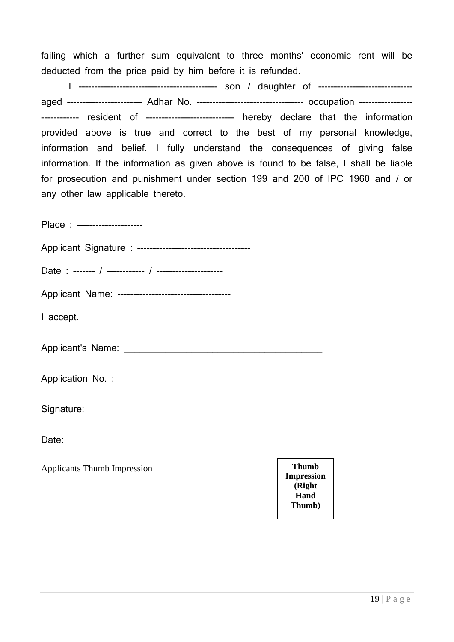failing which a further sum equivalent to three months' economic rent will be deducted from the price paid by him before it is refunded.

I -------------------------------------------- son / daughter of ----------------------------- aged ------------------------ Adhar No. ---------------------------------- occupation ----------------------------- resident of ---------------------------- hereby declare that the information provided above is true and correct to the best of my personal knowledge, information and belief. I fully understand the consequences of giving false information. If the information as given above is found to be false, I shall be liable for prosecution and punishment under section 199 and 200 of IPC 1960 and / or any other law applicable thereto.

Place : ---------------------

Applicant Signature : ------------------------------------

Date : ------- / ------------ / ---------------------

Applicant Name: ------------------------------------

I accept.

Applicant's Name: **Authority** Contract and Applicant of Name:

Application No. : \_\_\_\_\_\_\_\_\_\_\_\_\_\_\_\_\_\_\_\_\_\_\_\_\_\_\_\_\_\_\_\_\_\_\_\_\_\_\_

Signature:

Date:

Applicants Thumb Impression **Thumb** 

**Impression (Right Hand Thumb)**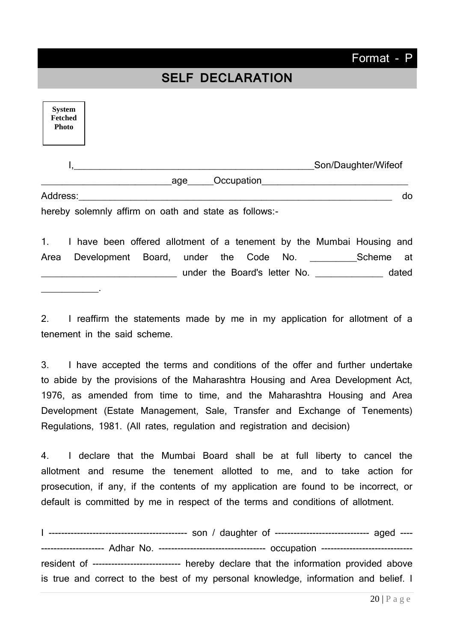# **SELF DECLARATION**

| <b>System</b><br><b>Fetched</b><br><b>Photo</b> |                                                       |                     |
|-------------------------------------------------|-------------------------------------------------------|---------------------|
|                                                 |                                                       | Son/Daughter/Wifeof |
|                                                 | Occupation<br>age                                     |                     |
| Address:                                        |                                                       | do                  |
|                                                 | hereby solemnly affirm on oath and state as follows:- |                     |

1. I have been offered allotment of a tenement by the Mumbai Housing and Area Development Board, under the Code No. \_\_\_\_\_\_\_\_\_Scheme at \_\_\_\_\_\_\_\_\_\_\_\_\_\_\_\_\_\_\_\_\_\_\_\_\_\_ under the Board's letter No. \_\_\_\_\_\_\_\_\_\_\_\_\_ dated

\_\_\_\_\_\_\_\_\_\_\_.

2. I reaffirm the statements made by me in my application for allotment of a tenement in the said scheme.

3. I have accepted the terms and conditions of the offer and further undertake to abide by the provisions of the Maharashtra Housing and Area Development Act, 1976, as amended from time to time, and the Maharashtra Housing and Area Development (Estate Management, Sale, Transfer and Exchange of Tenements) Regulations, 1981. (All rates, regulation and registration and decision)

4. I declare that the Mumbai Board shall be at full liberty to cancel the allotment and resume the tenement allotted to me, and to take action for prosecution, if any, if the contents of my application are found to be incorrect, or default is committed by me in respect of the terms and conditions of allotment.

I -------------------------------------------- son / daughter of ------------------------------ aged ---- -------------------- Adhar No. ---------------------------------- occupation ---------------------------- resident of ---------------------------- hereby declare that the information provided above is true and correct to the best of my personal knowledge, information and belief. I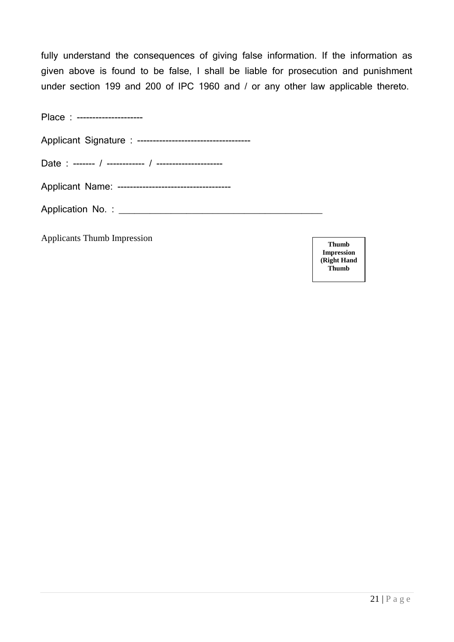fully understand the consequences of giving false information. If the information as given above is found to be false, I shall be liable for prosecution and punishment under section 199 and 200 of IPC 1960 and / or any other law applicable thereto.

| Place : ---------------------                      |  |
|----------------------------------------------------|--|
|                                                    |  |
|                                                    |  |
| Applicant Name: ---------------------------------- |  |
|                                                    |  |
| <b>Applicants Thumb Impression</b>                 |  |

**Thumb Impression (Right Hand Thumb**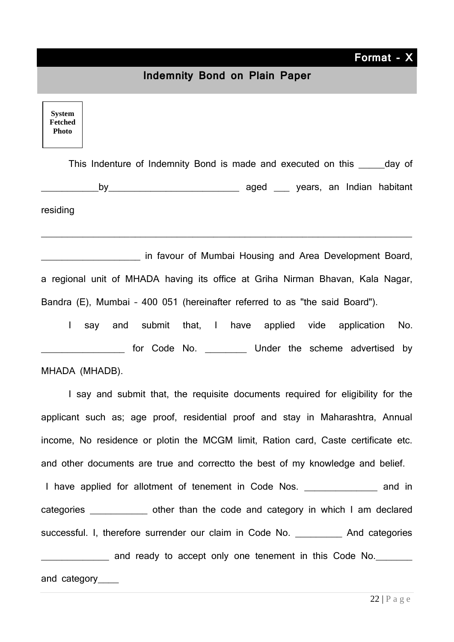**Format - X**

#### **Indemnity Bond on Plain Paper**

**System Fetched Photo**

This Indenture of Indemnity Bond is made and executed on this example of by by aged years, an Indian habitant

residing

\_\_\_\_\_\_\_\_\_\_\_\_\_\_\_\_\_\_\_ in favour of Mumbai Housing and Area Development Board, a regional unit of MHADA having its office at Griha Nirman Bhavan, Kala Nagar, Bandra (E), Mumbai – 400 051 (hereinafter referred to as "the said Board").

 $\_$  , and the set of the set of the set of the set of the set of the set of the set of the set of the set of the set of the set of the set of the set of the set of the set of the set of the set of the set of the set of th

I say and submit that, I have applied vide application No. **with the scheme advertised by** Under the scheme advertised by MHADA (MHADB).

I say and submit that, the requisite documents required for eligibility for the applicant such as; age proof, residential proof and stay in Maharashtra, Annual income, No residence or plotin the MCGM limit, Ration card, Caste certificate etc. and other documents are true and correctto the best of my knowledge and belief.

I have applied for allotment of tenement in Code Nos. \_\_\_\_\_\_\_\_\_\_\_\_\_\_\_ and in categories **Exercise 20** other than the code and category in which I am declared successful. I, therefore surrender our claim in Code No. \_\_\_\_\_\_\_\_\_\_ And categories and ready to accept only one tenement in this Code No.

and category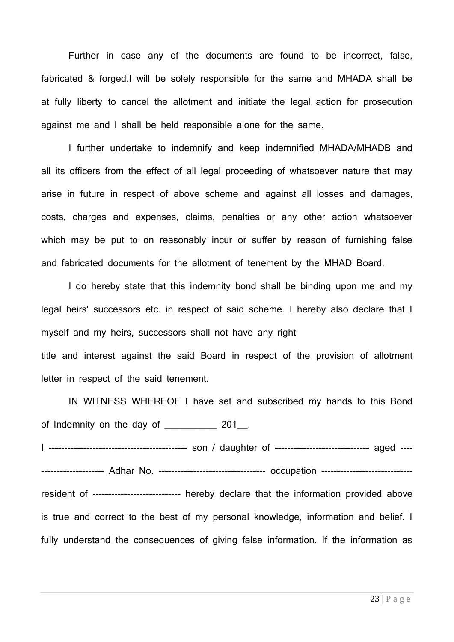Further in case any of the documents are found to be incorrect, false, fabricated & forged,I will be solely responsible for the same and MHADA shall be at fully liberty to cancel the allotment and initiate the legal action for prosecution against me and I shall be held responsible alone for the same.

I further undertake to indemnify and keep indemnified MHADA/MHADB and all its officers from the effect of all legal proceeding of whatsoever nature that may arise in future in respect of above scheme and against all losses and damages, costs, charges and expenses, claims, penalties or any other action whatsoever which may be put to on reasonably incur or suffer by reason of furnishing false and fabricated documents for the allotment of tenement by the MHAD Board.

I do hereby state that this indemnity bond shall be binding upon me and my legal heirs' successors etc. in respect of said scheme. I hereby also declare that I myself and my heirs, successors shall not have any right title and interest against the said Board in respect of the provision of allotment letter in respect of the said tenement.

IN WITNESS WHEREOF I have set and subscribed my hands to this Bond of Indemnity on the day of \_\_\_\_\_\_\_\_\_\_\_\_ 201 . I -------------------------------------------- son / daughter of ------------------------------ aged ---- ------------------- Adhar No. ---------------------------------- occupation ---------------------------resident of ---------------------------- hereby declare that the information provided above is true and correct to the best of my personal knowledge, information and belief. I fully understand the consequences of giving false information. If the information as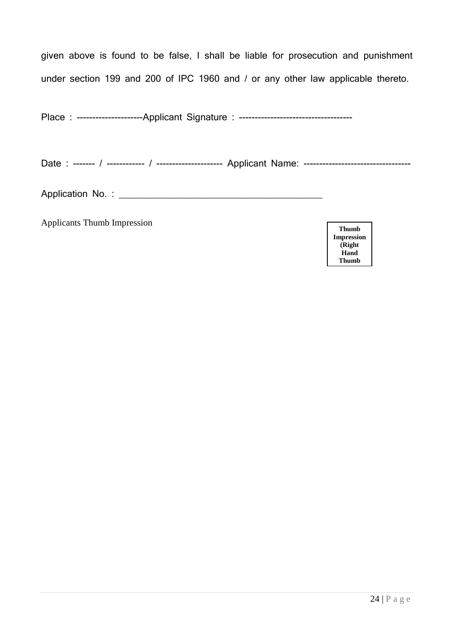given above is found to be false, I shall be liable for prosecution and punishment under section 199 and 200 of IPC 1960 and / or any other law applicable thereto.

Place : ---------------------Applicant Signature : ------------------------------------

Date : ------- / ------------ / --------------------- Applicant Name: ----------------------------------

Application No. : \_\_\_\_\_\_\_\_\_\_\_\_\_\_\_\_\_\_\_\_\_\_\_\_\_\_\_\_\_\_\_\_\_\_\_\_\_\_\_

Applicants Thumb Impression

**Thumb Impression (Right Hand Thumb**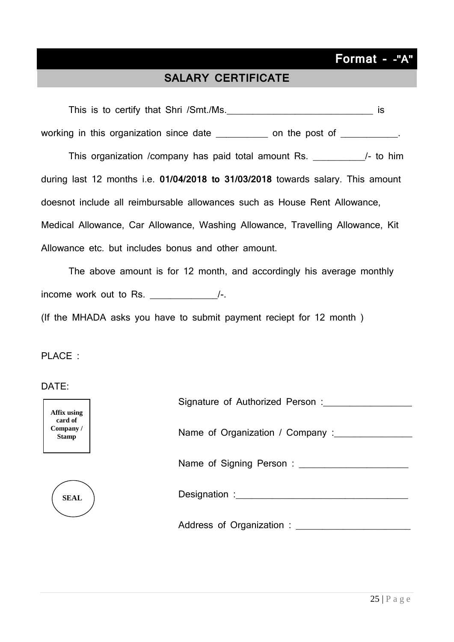# **Format - -"A"**

# **SALARY CERTIFICATE**

This is to certify that Shri /Smt./Ms. This is to certify that Shri /Smt./Ms. working in this organization since date and the post of the post of the post of the post of the system on the post of the system on the post of the system on the post of the system on the post of the system of the system o This organization /company has paid total amount Rs. \_\_\_\_\_\_\_\_\_\_/- to him during last 12 months i.e. **01/04/2018 to 31/03/2018** towards salary. This amount doesnot include all reimbursable allowances such as House Rent Allowance, Medical Allowance, Car Allowance, Washing Allowance, Travelling Allowance, Kit Allowance etc. but includes bonus and other amount.

The above amount is for 12 month, and accordingly his average monthly income work out to Rs. \_\_\_\_\_\_\_\_\_\_\_\_\_/-.

(If the MHADA asks you have to submit payment reciept for 12 month )

PLACE :

DATE:

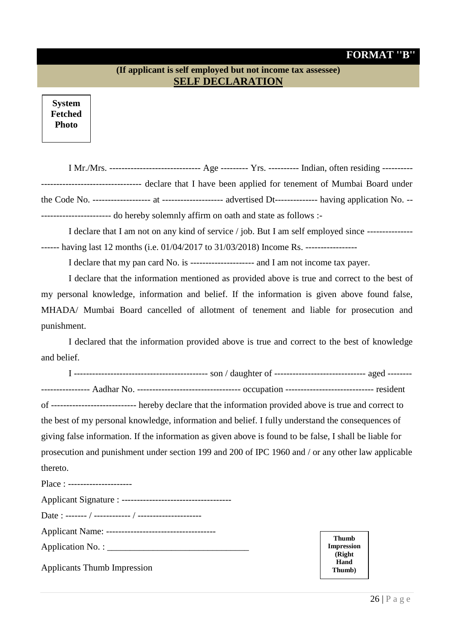### **FORMAT ''B''**

### **(If applicant is self employed but not income tax assessee) SELF DECLARATION**

**System Fetched Photo**

| I Mr./Mrs. ------------------------------- Age --------- Yrs. ---------- Indian, often residing --------- |  |
|-----------------------------------------------------------------------------------------------------------|--|
| --------------------------------- declare that I have been applied for tenement of Mumbai Board under     |  |
|                                                                                                           |  |
|                                                                                                           |  |

I declare that I am not on any kind of service / job. But I am self employed since --------------- ------ having last 12 months (i.e. 01/04/2017 to 31/03/2018) Income Rs. -----------------

I declare that my pan card No. is --------------------- and I am not income tax payer.

I declare that the information mentioned as provided above is true and correct to the best of my personal knowledge, information and belief. If the information is given above found false, MHADA/ Mumbai Board cancelled of allotment of tenement and liable for prosecution and punishment.

I declared that the information provided above is true and correct to the best of knowledge and belief.

I -------------------------------------------- son / daughter of ------------------------------ aged -------- ---------------- Aadhar No. ---------------------------------- occupation ----------------------------- resident of ---------------------------- hereby declare that the information provided above is true and correct to the best of my personal knowledge, information and belief. I fully understand the consequences of giving false information. If the information as given above is found to be false, I shall be liable for prosecution and punishment under section 199 and 200 of IPC 1960 and / or any other law applicable thereto. Place : ----------------------

| <b>Applicants Thumb Impression</b> |
|------------------------------------|

**Thumb Impression (Right Hand Thumb)**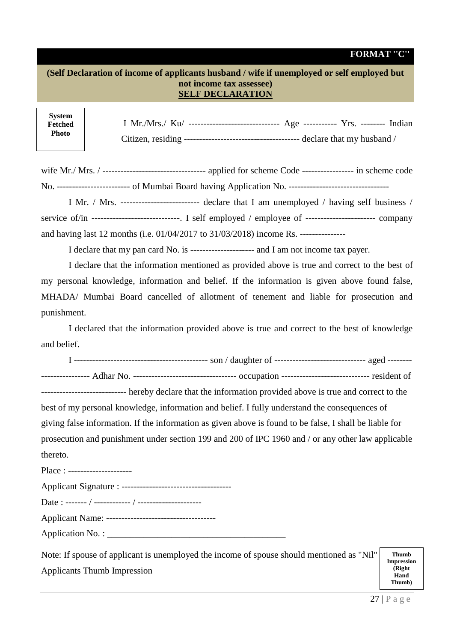#### **FORMAT ''C''**

#### **(Self Declaration of income of applicants husband / wife if unemployed or self employed but not income tax assessee) SELF DECLARATION**

**System Fetched Photo**

wife Mr./ Mrs. / ---------------------------------- applied for scheme Code ----------------- in scheme code No. ------------------------ of Mumbai Board having Application No. ---------------------------------

I Mr. / Mrs. -------------------------- declare that I am unemployed / having self business / service of/in -----------------------------. I self employed / employee of ----------------------- company and having last 12 months (i.e. 01/04/2017 to 31/03/2018) income Rs. ---------------

I declare that my pan card No. is --------------------- and I am not income tax payer.

I declare that the information mentioned as provided above is true and correct to the best of my personal knowledge, information and belief. If the information is given above found false, MHADA/ Mumbai Board cancelled of allotment of tenement and liable for prosecution and punishment.

I declared that the information provided above is true and correct to the best of knowledge and belief.

I -------------------------------------------- son / daughter of ------------------------------ aged --------

---------------- Adhar No. ---------------------------------- occupation ----------------------------- resident of

---------------------------- hereby declare that the information provided above is true and correct to the best of my personal knowledge, information and belief. I fully understand the consequences of giving false information. If the information as given above is found to be false, I shall be liable for prosecution and punishment under section 199 and 200 of IPC 1960 and / or any other law applicable thereto.

Place : ---------------------

Applicant Name: ------------------------------------

 $A$  pulled  $S$  is a strue :

Application No. : \_\_\_\_\_\_\_\_\_\_\_\_\_\_\_\_\_\_\_\_\_\_\_\_\_\_\_\_\_\_\_\_\_\_\_\_\_\_\_

Note: If spouse of applicant is unemployed the income of spouse should mentioned as "Nil" Applicants Thumb Impression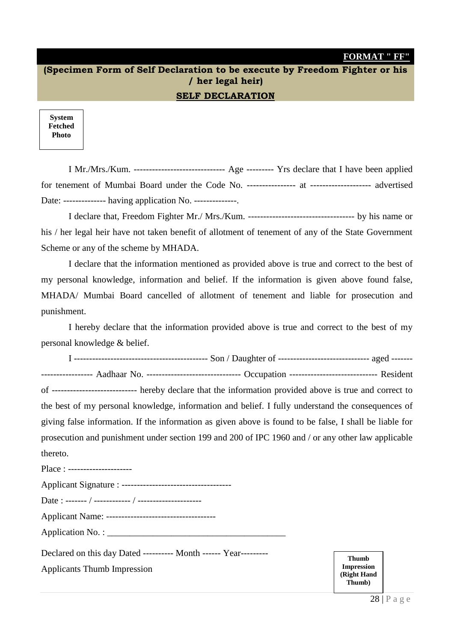#### **FORMAT " FF"**

# **(Specimen Form of Self Declaration to be execute by Freedom Fighter or his / her legal heir)**

#### **SELF DECLARATION**

**System Fetched Photo**

I Mr./Mrs./Kum. ------------------------------ Age --------- Yrs declare that I have been applied for tenement of Mumbai Board under the Code No. ---------------- at -------------------- advertised Date: -------------- having application No. --------------.

I declare that, Freedom Fighter Mr./ Mrs./Kum. ----------------------------------- by his name or his / her legal heir have not taken benefit of allotment of tenement of any of the State Government Scheme or any of the scheme by MHADA.

I declare that the information mentioned as provided above is true and correct to the best of my personal knowledge, information and belief. If the information is given above found false, MHADA/ Mumbai Board cancelled of allotment of tenement and liable for prosecution and punishment.

I hereby declare that the information provided above is true and correct to the best of my personal knowledge & belief.

I -------------------------------------------- Son / Daughter of ------------------------------ aged ------- ----------------- Aadhaar No. ------------------------------- Occupation ----------------------------- Resident

of ---------------------------- hereby declare that the information provided above is true and correct to the best of my personal knowledge, information and belief. I fully understand the consequences of giving false information. If the information as given above is found to be false, I shall be liable for prosecution and punishment under section 199 and 200 of IPC 1960 and / or any other law applicable thereto.

Place : ----------------------Applicant Signature : ------------------------------------ Date : ------- / ------------ / --------------------- Applicant Name: ------------------------------------ Application No. : \_\_\_\_\_\_\_\_\_\_\_\_\_\_\_\_\_\_\_\_\_\_\_\_\_\_\_\_\_\_\_\_\_\_\_\_\_\_\_ Declared on this day Dated ---------- Month ------ Year--------- Applicants Thumb Impression

**Thumb Impression (Right Hand Thumb)**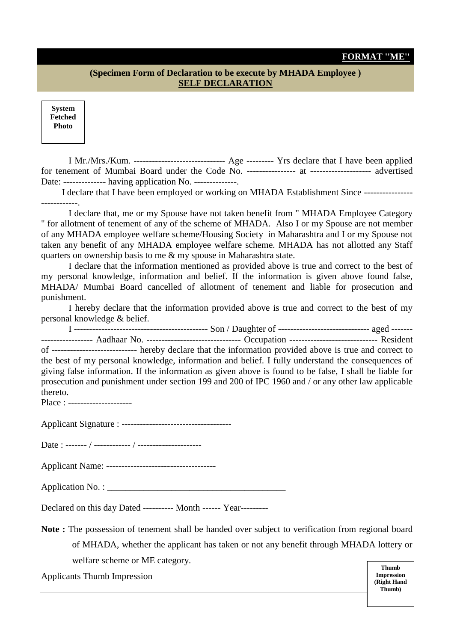#### **FORMAT ''ME''**

#### **(Specimen Form of Declaration to be execute by MHADA Employee ) SELF DECLARATION**

**System Fetched Photo**

I Mr./Mrs./Kum. ------------------------------ Age --------- Yrs declare that I have been applied for tenement of Mumbai Board under the Code No. ---------------- at -------------------- advertised Date: -------------- having application No. --------------.

I declare that I have been employed or working on MHADA Establishment Since ---------------- ------------.

I declare that, me or my Spouse have not taken benefit from " MHADA Employee Category " for allotment of tenement of any of the scheme of MHADA. Also I or my Spouse are not member of any MHADA employee welfare scheme/Housing Society in Maharashtra and I or my Spouse not taken any benefit of any MHADA employee welfare scheme. MHADA has not allotted any Staff quarters on ownership basis to me & my spouse in Maharashtra state.

I declare that the information mentioned as provided above is true and correct to the best of my personal knowledge, information and belief. If the information is given above found false, MHADA/ Mumbai Board cancelled of allotment of tenement and liable for prosecution and punishment.

I hereby declare that the information provided above is true and correct to the best of my personal knowledge & belief.

I -------------------------------------------- Son / Daughter of ------------------------------ aged ------- ----------------- Aadhaar No. ------------------------------- Occupation ----------------------------- Resident of ---------------------------- hereby declare that the information provided above is true and correct to the best of my personal knowledge, information and belief. I fully understand the consequences of giving false information. If the information as given above is found to be false, I shall be liable for prosecution and punishment under section 199 and 200 of IPC 1960 and / or any other law applicable thereto.

Place : ----------------------

Applicant Signature : ------------------------------------

Date : ------- / ------------ / ---------------------

Applicant Name: ------------------------------------

Application No. : \_\_\_\_\_\_\_\_\_\_\_\_\_\_\_\_\_\_\_\_\_\_\_\_\_\_\_\_\_\_\_\_\_\_\_\_\_\_\_

Declared on this day Dated ---------- Month ------ Year---------

**Note :** The possession of tenement shall be handed over subject to verification from regional board of MHADA, whether the applicant has taken or not any benefit through MHADA lottery or welfare scheme or ME category.

Applicants Thumb Impression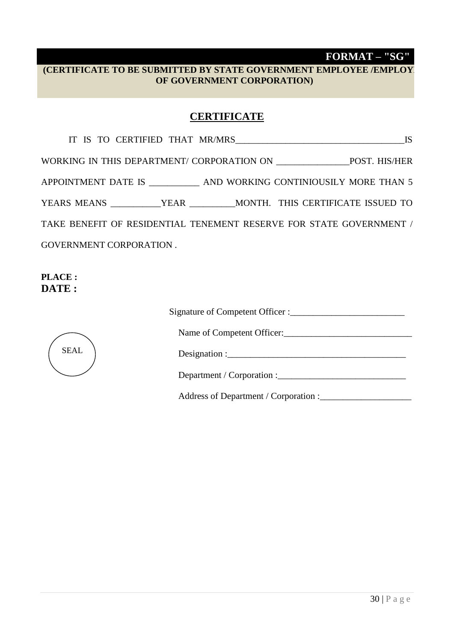# **FORMAT – "SG"**

## **(CERTIFICATE TO BE SUBMITTED BY STATE GOVERNMENT EMPLOYEE /EMPLOYEE OF GOVERNMENT CORPORATION)**

## **CERTIFICATE**

|                                                                       |  | <b>IS</b> |
|-----------------------------------------------------------------------|--|-----------|
|                                                                       |  |           |
| APPOINTMENT DATE IS ___________ AND WORKING CONTINIOUSILY MORE THAN 5 |  |           |
| YEARS MEANS YEAR MONTH. THIS CERTIFICATE ISSUED TO                    |  |           |
| TAKE BENEFIT OF RESIDENTIAL TENEMENT RESERVE FOR STATE GOVERNMENT /   |  |           |
| <b>GOVERNMENT CORPORATION.</b>                                        |  |           |
|                                                                       |  |           |

**PLACE : DATE :** 

| <b>SEAL</b> |
|-------------|
|             |

| Signature of Competent Officer : |
|----------------------------------|
|----------------------------------|

Name of Competent Officer:\_\_\_\_\_\_\_\_\_\_\_\_\_\_\_\_\_\_\_\_\_\_\_\_\_\_\_\_

Designation :  $\frac{1}{2}$  is the set of the set of the set of the set of the set of the set of the set of the set of the set of the set of the set of the set of the set of the set of the set of the set of the set of the set

Department / Corporation :\_\_\_\_\_\_\_\_\_\_\_\_\_\_\_\_\_\_\_\_\_\_\_\_\_\_\_\_

Address of Department / Corporation :\_\_\_\_\_\_\_\_\_\_\_\_\_\_\_\_\_\_\_\_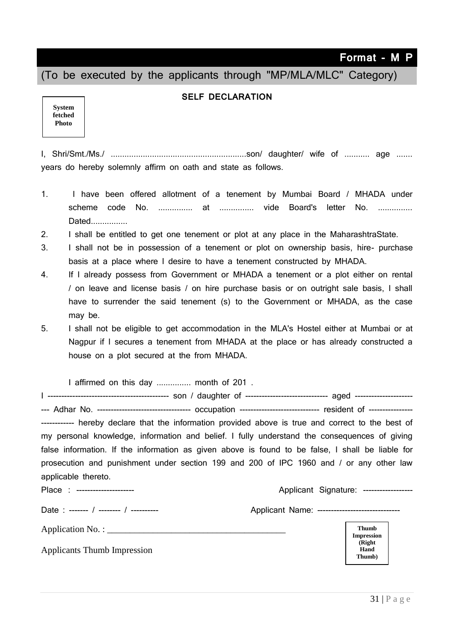**Format - M P**

(To be executed by the applicants through "MP/MLA/MLC" Category)

#### **SELF DECLARATION**

| <b>System</b> |
|---------------|
| fetched       |
| Photo         |
|               |

I, Shri/Smt./Ms./ ...........................................................son/ daughter/ wife of ........... age ....... years do hereby solemnly affirm on oath and state as follows.

- 1. I have been offered allotment of a tenement by Mumbai Board / MHADA under scheme code No. ............... at ............... vide Board's letter No. ............... Dated................
- 2. I shall be entitled to get one tenement or plot at any place in the MaharashtraState.
- 3. I shall not be in possession of a tenement or plot on ownership basis, hire- purchase basis at a place where I desire to have a tenement constructed by MHADA.
- 4. If I already possess from Government or MHADA a tenement or a plot either on rental / on leave and license basis / on hire purchase basis or on outright sale basis, I shall have to surrender the said tenement (s) to the Government or MHADA, as the case may be.
- 5. I shall not be eligible to get accommodation in the MLA's Hostel either at Mumbai or at Nagpur if I secures a tenement from MHADA at the place or has already constructed a house on a plot secured at the from MHADA.

I affirmed on this day ............... month of 201 .

I -------------------------------------------- son / daughter of ------------------------------ aged --------------------- --- Adhar No. --------------------------------- occupation ------------------------------ resident of --------------------------- hereby declare that the information provided above is true and correct to the best of my personal knowledge, information and belief. I fully understand the consequences of giving false information. If the information as given above is found to be false, I shall be liable for prosecution and punishment under section 199 and 200 of IPC 1960 and / or any other law applicable thereto. Place : --------------------- Applicant Signature: ------------------ Date : ------- / -------- / ---------- Applicant Name: ------------------------------ Application No. : Applicants Thumb Impression **Thumb Impression (Right Hand Thumb)**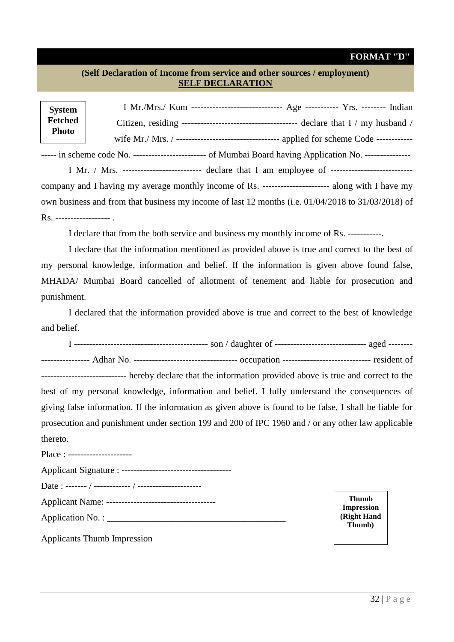### **FORMAT ''D''**

#### **(Self Declaration of Income from service and other sources / employment) SELF DECLARATION**

| <b>System</b>              |                                                                                                          |
|----------------------------|----------------------------------------------------------------------------------------------------------|
| <b>Fetched</b>             |                                                                                                          |
| <b>Photo</b>               | wife Mr./ Mrs. / ---------------------------------- applied for scheme Code ------------                 |
|                            | ----- in scheme code No. ------------------------ of Mumbai Board having Application No. --------------- |
|                            | I Mr. / Mrs. ------------------------- declare that I am employee of ------------------------------      |
|                            | company and I having my average monthly income of Rs. ----------------------- along with I have my       |
|                            | own business and from that business my income of last 12 months (i.e. 01/04/2018 to 31/03/2018) of       |
| Rs. -------------------- . |                                                                                                          |

I declare that from the both service and business my monthly income of Rs. -----------.

I declare that the information mentioned as provided above is true and correct to the best of my personal knowledge, information and belief. If the information is given above found false, MHADA/ Mumbai Board cancelled of allotment of tenement and liable for prosecution and punishment.

I declared that the information provided above is true and correct to the best of knowledge and belief.

| ----------------------------- hereby declare that the information provided above is true and correct to the |                                   |  |
|-------------------------------------------------------------------------------------------------------------|-----------------------------------|--|
| best of my personal knowledge, information and belief. I fully understand the consequences of               |                                   |  |
| giving false information. If the information as given above is found to be false, I shall be liable for     |                                   |  |
| prosecution and punishment under section 199 and 200 of IPC 1960 and / or any other law applicable          |                                   |  |
| thereto.                                                                                                    |                                   |  |
| Place : ----------------------                                                                              |                                   |  |
|                                                                                                             |                                   |  |
|                                                                                                             |                                   |  |
|                                                                                                             | <b>Thumb</b><br><b>Impression</b> |  |
|                                                                                                             | (Right Hand                       |  |
| Applicants Thumb Impression                                                                                 | Thumb)                            |  |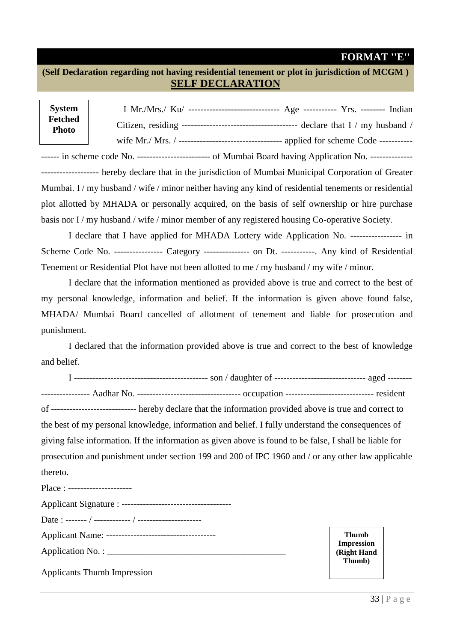#### **FORMAT ''E''**

**(Self Declaration regarding not having residential tenement or plot in jurisdiction of MCGM ) SELF DECLARATION**

| <b>System</b>           | I Mr./Mrs./ $Ku/$ ---------------------------------<br>Age ----------- $Yrs$ . -------- Indian |
|-------------------------|------------------------------------------------------------------------------------------------|
| Fetched<br><b>Photo</b> |                                                                                                |
|                         | applied for scheme Code -----------                                                            |

------ in scheme code No. -------------------------- of Mumbai Board having Application No. ---------------------------------- hereby declare that in the jurisdiction of Mumbai Municipal Corporation of Greater Mumbai. I/my husband/wife/minor neither having any kind of residential tenements or residential plot allotted by MHADA or personally acquired, on the basis of self ownership or hire purchase basis nor I / my husband / wife / minor member of any registered housing Co-operative Society.

I declare that I have applied for MHADA Lottery wide Application No. ----------------- in Scheme Code No. ----------------- Category ---------------- on Dt. -----------. Any kind of Residential Tenement or Residential Plot have not been allotted to me / my husband / my wife / minor.

I declare that the information mentioned as provided above is true and correct to the best of my personal knowledge, information and belief. If the information is given above found false, MHADA/ Mumbai Board cancelled of allotment of tenement and liable for prosecution and punishment.

I declared that the information provided above is true and correct to the best of knowledge and belief.

I -------------------------------------------- son / daughter of ------------------------------ aged -------- ---------------- Aadhar No. ---------------------------------- occupation ----------------------------- resident of ---------------------------- hereby declare that the information provided above is true and correct to the best of my personal knowledge, information and belief. I fully understand the consequences of giving false information. If the information as given above is found to be false, I shall be liable for prosecution and punishment under section 199 and 200 of IPC 1960 and / or any other law applicable thereto.

Place : ---------------------

Applicants Thumb Impression

**Thumb Impression (Right Hand Thumb)**